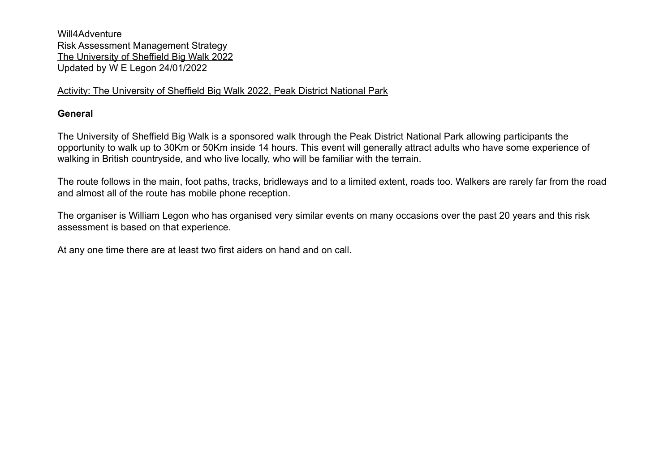# Activity: The University of Sheffield Big Walk 2022, Peak District National Park

# **General**

The University of Sheffield Big Walk is a sponsored walk through the Peak District National Park allowing participants the opportunity to walk up to 30Km or 50Km inside 14 hours. This event will generally attract adults who have some experience of walking in British countryside, and who live locally, who will be familiar with the terrain.

The route follows in the main, foot paths, tracks, bridleways and to a limited extent, roads too. Walkers are rarely far from the road and almost all of the route has mobile phone reception.

The organiser is William Legon who has organised very similar events on many occasions over the past 20 years and this risk assessment is based on that experience.

At any one time there are at least two first aiders on hand and on call.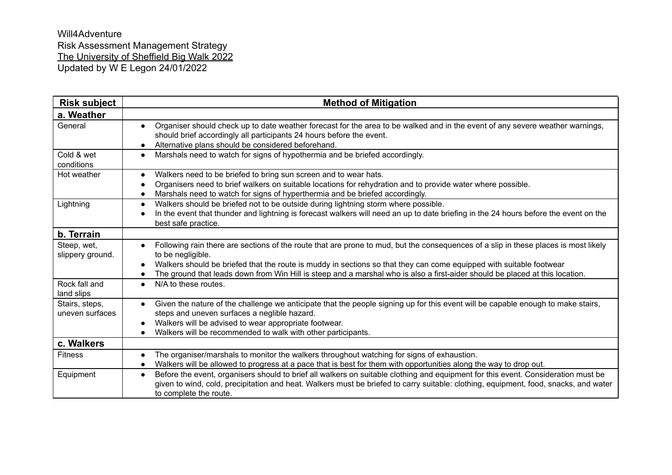| <b>Risk subject</b>               | <b>Method of Mitigation</b>                                                                                                                                                                                                                                                                                                                                                                                     |
|-----------------------------------|-----------------------------------------------------------------------------------------------------------------------------------------------------------------------------------------------------------------------------------------------------------------------------------------------------------------------------------------------------------------------------------------------------------------|
| a. Weather                        |                                                                                                                                                                                                                                                                                                                                                                                                                 |
| General                           | Organiser should check up to date weather forecast for the area to be walked and in the event of any severe weather warnings,<br>$\bullet$<br>should brief accordingly all participants 24 hours before the event.<br>Alternative plans should be considered beforehand.                                                                                                                                        |
| Cold & wet<br>conditions          | Marshals need to watch for signs of hypothermia and be briefed accordingly.<br>$\bullet$                                                                                                                                                                                                                                                                                                                        |
| Hot weather                       | Walkers need to be briefed to bring sun screen and to wear hats.<br>$\bullet$<br>Organisers need to brief walkers on suitable locations for rehydration and to provide water where possible.<br>Marshals need to watch for signs of hyperthermia and be briefed accordingly.                                                                                                                                    |
| Lightning                         | Walkers should be briefed not to be outside during lightning storm where possible.<br>$\bullet$<br>In the event that thunder and lightning is forecast walkers will need an up to date briefing in the 24 hours before the event on the<br>best safe practice.                                                                                                                                                  |
| b. Terrain                        |                                                                                                                                                                                                                                                                                                                                                                                                                 |
| Steep, wet,<br>slippery ground.   | Following rain there are sections of the route that are prone to mud, but the consequences of a slip in these places is most likely<br>to be negligible.<br>Walkers should be briefed that the route is muddy in sections so that they can come equipped with suitable footwear<br>The ground that leads down from Win Hill is steep and a marshal who is also a first-aider should be placed at this location. |
| Rock fall and<br>land slips       | N/A to these routes.<br>$\bullet$                                                                                                                                                                                                                                                                                                                                                                               |
| Stairs, steps,<br>uneven surfaces | Given the nature of the challenge we anticipate that the people signing up for this event will be capable enough to make stairs,<br>$\bullet$<br>steps and uneven surfaces a neglible hazard.<br>Walkers will be advised to wear appropriate footwear.<br>Walkers will be recommended to walk with other participants.                                                                                          |
| c. Walkers                        |                                                                                                                                                                                                                                                                                                                                                                                                                 |
| <b>Fitness</b>                    | The organiser/marshals to monitor the walkers throughout watching for signs of exhaustion.<br>$\bullet$<br>Walkers will be allowed to progress at a pace that is best for them with opportunities along the way to drop out.                                                                                                                                                                                    |
| Equipment                         | Before the event, organisers should to brief all walkers on suitable clothing and equipment for this event. Consideration must be<br>$\bullet$<br>given to wind, cold, precipitation and heat. Walkers must be briefed to carry suitable: clothing, equipment, food, snacks, and water<br>to complete the route.                                                                                                |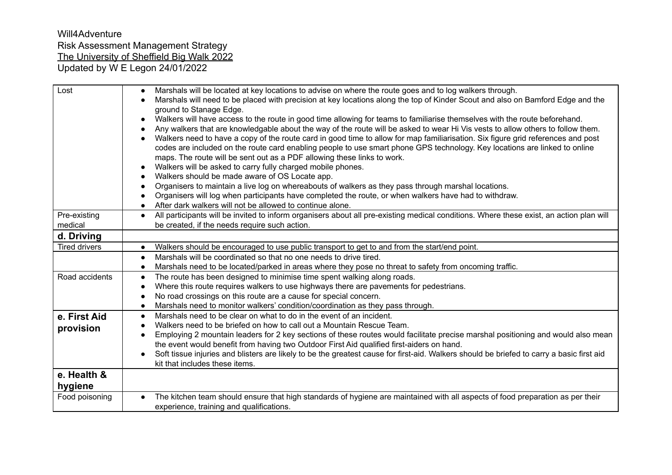| Lost                    | Marshals will be located at key locations to advise on where the route goes and to log walkers through.<br>Marshals will need to be placed with precision at key locations along the top of Kinder Scout and also on Bamford Edge and the<br>ground to Stanage Edge.<br>Walkers will have access to the route in good time allowing for teams to familiarise themselves with the route beforehand.<br>Any walkers that are knowledgable about the way of the route will be asked to wear Hi Vis vests to allow others to follow them.<br>Walkers need to have a copy of the route card in good time to allow for map familiarisation. Six figure grid references and post<br>codes are included on the route card enabling people to use smart phone GPS technology. Key locations are linked to online<br>maps. The route will be sent out as a PDF allowing these links to work.<br>Walkers will be asked to carry fully charged mobile phones.<br>Walkers should be made aware of OS Locate app. |
|-------------------------|-----------------------------------------------------------------------------------------------------------------------------------------------------------------------------------------------------------------------------------------------------------------------------------------------------------------------------------------------------------------------------------------------------------------------------------------------------------------------------------------------------------------------------------------------------------------------------------------------------------------------------------------------------------------------------------------------------------------------------------------------------------------------------------------------------------------------------------------------------------------------------------------------------------------------------------------------------------------------------------------------------|
|                         | Organisers to maintain a live log on whereabouts of walkers as they pass through marshal locations.<br>Organisers will log when participants have completed the route, or when walkers have had to withdraw.<br>After dark walkers will not be allowed to continue alone.                                                                                                                                                                                                                                                                                                                                                                                                                                                                                                                                                                                                                                                                                                                           |
| Pre-existing<br>medical | All participants will be invited to inform organisers about all pre-existing medical conditions. Where these exist, an action plan will<br>$\bullet$<br>be created, if the needs require such action.                                                                                                                                                                                                                                                                                                                                                                                                                                                                                                                                                                                                                                                                                                                                                                                               |
| d. Driving              |                                                                                                                                                                                                                                                                                                                                                                                                                                                                                                                                                                                                                                                                                                                                                                                                                                                                                                                                                                                                     |
| <b>Tired drivers</b>    | Walkers should be encouraged to use public transport to get to and from the start/end point.<br>$\bullet$                                                                                                                                                                                                                                                                                                                                                                                                                                                                                                                                                                                                                                                                                                                                                                                                                                                                                           |
|                         | Marshals will be coordinated so that no one needs to drive tired.                                                                                                                                                                                                                                                                                                                                                                                                                                                                                                                                                                                                                                                                                                                                                                                                                                                                                                                                   |
|                         | Marshals need to be located/parked in areas where they pose no threat to safety from oncoming traffic.<br>$\bullet$                                                                                                                                                                                                                                                                                                                                                                                                                                                                                                                                                                                                                                                                                                                                                                                                                                                                                 |
| Road accidents          | The route has been designed to minimise time spent walking along roads.<br>$\bullet$                                                                                                                                                                                                                                                                                                                                                                                                                                                                                                                                                                                                                                                                                                                                                                                                                                                                                                                |
|                         | Where this route requires walkers to use highways there are pavements for pedestrians.                                                                                                                                                                                                                                                                                                                                                                                                                                                                                                                                                                                                                                                                                                                                                                                                                                                                                                              |
|                         | No road crossings on this route are a cause for special concern.                                                                                                                                                                                                                                                                                                                                                                                                                                                                                                                                                                                                                                                                                                                                                                                                                                                                                                                                    |
|                         | Marshals need to monitor walkers' condition/coordination as they pass through.                                                                                                                                                                                                                                                                                                                                                                                                                                                                                                                                                                                                                                                                                                                                                                                                                                                                                                                      |
| e. First Aid            | Marshals need to be clear on what to do in the event of an incident.<br>$\bullet$                                                                                                                                                                                                                                                                                                                                                                                                                                                                                                                                                                                                                                                                                                                                                                                                                                                                                                                   |
| provision               | Walkers need to be briefed on how to call out a Mountain Rescue Team.<br>Employing 2 mountain leaders for 2 key sections of these routes would facilitate precise marshal positioning and would also mean                                                                                                                                                                                                                                                                                                                                                                                                                                                                                                                                                                                                                                                                                                                                                                                           |
|                         | the event would benefit from having two Outdoor First Aid qualified first-aiders on hand.                                                                                                                                                                                                                                                                                                                                                                                                                                                                                                                                                                                                                                                                                                                                                                                                                                                                                                           |
|                         | Soft tissue injuries and blisters are likely to be the greatest cause for first-aid. Walkers should be briefed to carry a basic first aid                                                                                                                                                                                                                                                                                                                                                                                                                                                                                                                                                                                                                                                                                                                                                                                                                                                           |
|                         | kit that includes these items.                                                                                                                                                                                                                                                                                                                                                                                                                                                                                                                                                                                                                                                                                                                                                                                                                                                                                                                                                                      |
| e. Health &<br>hygiene  |                                                                                                                                                                                                                                                                                                                                                                                                                                                                                                                                                                                                                                                                                                                                                                                                                                                                                                                                                                                                     |
| Food poisoning          | The kitchen team should ensure that high standards of hygiene are maintained with all aspects of food preparation as per their<br>$\bullet$<br>experience, training and qualifications.                                                                                                                                                                                                                                                                                                                                                                                                                                                                                                                                                                                                                                                                                                                                                                                                             |